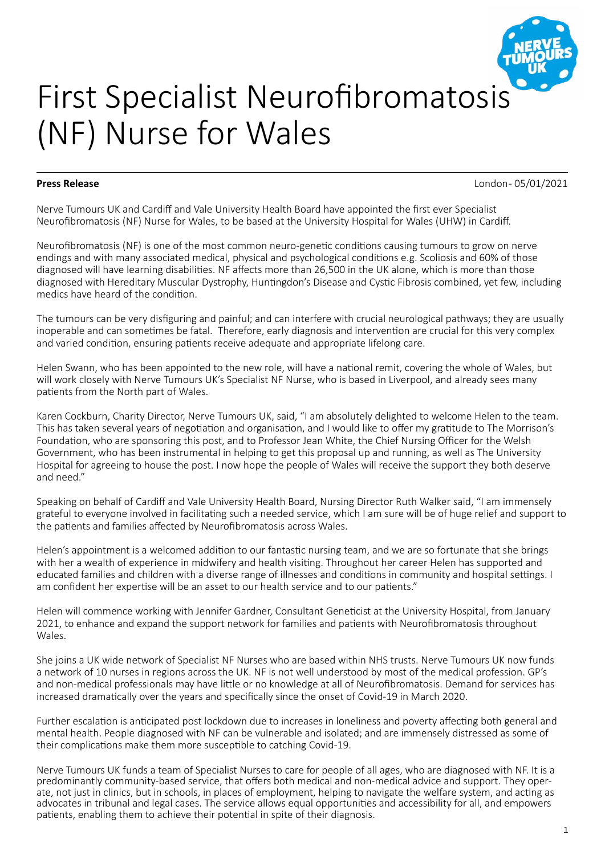

# First Specialist Neurofibromatosis (NF) Nurse for Wales

**Press Release** London - 05/01/2021

Nerve Tumours UK and Cardiff and Vale University Health Board have appointed the first ever Specialist Neurofibromatosis (NF) Nurse for Wales, to be based at the University Hospital for Wales (UHW) in Cardiff.

Neurofibromatosis (NF) is one of the most common neuro-genetic conditions causing tumours to grow on nerve endings and with many associated medical, physical and psychological conditions e.g. Scoliosis and 60% of those diagnosed will have learning disabilities. NF affects more than 26,500 in the UK alone, which is more than those diagnosed with Hereditary Muscular Dystrophy, Huntingdon's Disease and Cystic Fibrosis combined, yet few, including medics have heard of the condition.

The tumours can be very disfiguring and painful; and can interfere with crucial neurological pathways; they are usually inoperable and can sometimes be fatal. Therefore, early diagnosis and intervention are crucial for this very complex and varied condition, ensuring patients receive adequate and appropriate lifelong care.

Helen Swann, who has been appointed to the new role, will have a national remit, covering the whole of Wales, but will work closely with Nerve Tumours UK's Specialist NF Nurse, who is based in Liverpool, and already sees many patients from the North part of Wales.

Karen Cockburn, Charity Director, Nerve Tumours UK, said, "I am absolutely delighted to welcome Helen to the team. This has taken several years of negotiation and organisation, and I would like to offer my gratitude to The Morrison's Foundation, who are sponsoring this post, and to Professor Jean White, the Chief Nursing Officer for the Welsh Government, who has been instrumental in helping to get this proposal up and running, as well as The University Hospital for agreeing to house the post. I now hope the people of Wales will receive the support they both deserve and need."

Speaking on behalf of Cardiff and Vale University Health Board, Nursing Director Ruth Walker said, "I am immensely grateful to everyone involved in facilitating such a needed service, which I am sure will be of huge relief and support to the patients and families affected by Neurofibromatosis across Wales.

Helen's appointment is a welcomed addition to our fantastic nursing team, and we are so fortunate that she brings with her a wealth of experience in midwifery and health visiting. Throughout her career Helen has supported and educated families and children with a diverse range of illnesses and conditions in community and hospital settings. I am confident her expertise will be an asset to our health service and to our patients."

Helen will commence working with Jennifer Gardner, Consultant Geneticist at the University Hospital, from January 2021, to enhance and expand the support network for families and patients with Neurofibromatosis throughout Wales.

She joins a UK wide network of Specialist NF Nurses who are based within NHS trusts. Nerve Tumours UK now funds a network of 10 nurses in regions across the UK. NF is not well understood by most of the medical profession. GP's and non-medical professionals may have little or no knowledge at all of Neurofibromatosis. Demand for services has increased dramatically over the years and specifically since the onset of Covid-19 in March 2020.

Further escalation is anticipated post lockdown due to increases in loneliness and poverty affecting both general and mental health. People diagnosed with NF can be vulnerable and isolated; and are immensely distressed as some of their complications make them more susceptible to catching Covid-19.

Nerve Tumours UK funds a team of Specialist Nurses to care for people of all ages, who are diagnosed with NF. It is a predominantly community-based service, that offers both medical and non-medical advice and support. They operate, not just in clinics, but in schools, in places of employment, helping to navigate the welfare system, and acting as advocates in tribunal and legal cases. The service allows equal opportunities and accessibility for all, and empowers patients, enabling them to achieve their potential in spite of their diagnosis.